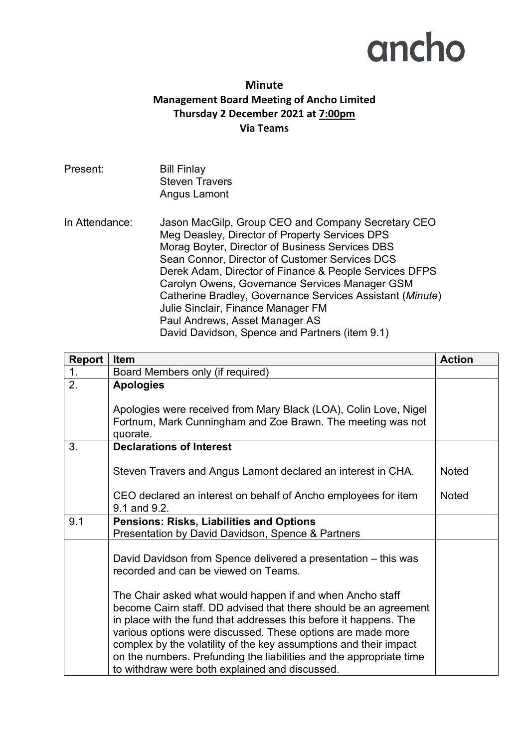## ancho

## **Minute Management Board Meeting of Ancho Limited Thursday 2 December 2021 at 7:00pm Via Teams**

| Present:       | <b>Bill Finlay</b><br><b>Steven Travers</b><br>Angus Lamont                                                                                                                                                                                                                                                                                                                                                                                                                                                  |
|----------------|--------------------------------------------------------------------------------------------------------------------------------------------------------------------------------------------------------------------------------------------------------------------------------------------------------------------------------------------------------------------------------------------------------------------------------------------------------------------------------------------------------------|
| In Attendance: | Jason MacGilp, Group CEO and Company Secretary CEO<br>Meg Deasley, Director of Property Services DPS<br>Morag Boyter, Director of Business Services DBS<br>Sean Connor, Director of Customer Services DCS<br>Derek Adam, Director of Finance & People Services DFPS<br>Carolyn Owens, Governance Services Manager GSM<br>Catherine Bradley, Governance Services Assistant (Minute)<br>Julie Sinclair, Finance Manager FM<br>Paul Andrews, Asset Manager AS<br>David Davidson, Spence and Partners (item 9.1) |

| Report           | <b>Item</b>                                                                                                                                                                                                                                                                                                                                                                                                                                                     | <b>Action</b> |
|------------------|-----------------------------------------------------------------------------------------------------------------------------------------------------------------------------------------------------------------------------------------------------------------------------------------------------------------------------------------------------------------------------------------------------------------------------------------------------------------|---------------|
| 1.               | Board Members only (if required)                                                                                                                                                                                                                                                                                                                                                                                                                                |               |
| $\overline{2}$ . | <b>Apologies</b>                                                                                                                                                                                                                                                                                                                                                                                                                                                |               |
|                  | Apologies were received from Mary Black (LOA), Colin Love, Nigel<br>Fortnum, Mark Cunningham and Zoe Brawn. The meeting was not<br>quorate.                                                                                                                                                                                                                                                                                                                     |               |
| 3.               | <b>Declarations of Interest</b>                                                                                                                                                                                                                                                                                                                                                                                                                                 |               |
|                  | Steven Travers and Angus Lamont declared an interest in CHA.                                                                                                                                                                                                                                                                                                                                                                                                    | <b>Noted</b>  |
|                  | CEO declared an interest on behalf of Ancho employees for item<br>9.1 and 9.2.                                                                                                                                                                                                                                                                                                                                                                                  | <b>Noted</b>  |
| 9.1              | <b>Pensions: Risks, Liabilities and Options</b><br>Presentation by David Davidson, Spence & Partners                                                                                                                                                                                                                                                                                                                                                            |               |
|                  | David Davidson from Spence delivered a presentation – this was<br>recorded and can be viewed on Teams.                                                                                                                                                                                                                                                                                                                                                          |               |
|                  | The Chair asked what would happen if and when Ancho staff<br>become Cairn staff. DD advised that there should be an agreement<br>in place with the fund that addresses this before it happens. The<br>various options were discussed. These options are made more<br>complex by the volatility of the key assumptions and their impact<br>on the numbers. Prefunding the liabilities and the appropriate time<br>to withdraw were both explained and discussed. |               |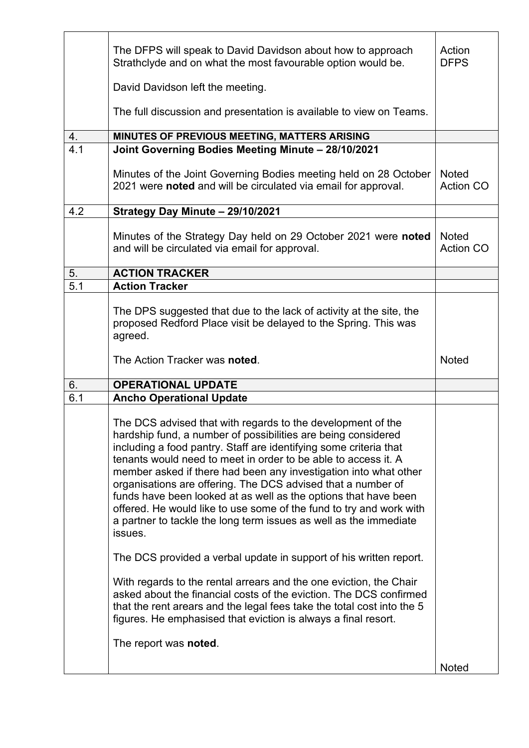|                  | The DFPS will speak to David Davidson about how to approach<br>Strathclyde and on what the most favourable option would be.                                                                                                                                                                                                                                                                                                                                                                                                                                                                                                       | Action<br><b>DFPS</b>            |
|------------------|-----------------------------------------------------------------------------------------------------------------------------------------------------------------------------------------------------------------------------------------------------------------------------------------------------------------------------------------------------------------------------------------------------------------------------------------------------------------------------------------------------------------------------------------------------------------------------------------------------------------------------------|----------------------------------|
|                  | David Davidson left the meeting.                                                                                                                                                                                                                                                                                                                                                                                                                                                                                                                                                                                                  |                                  |
|                  | The full discussion and presentation is available to view on Teams.                                                                                                                                                                                                                                                                                                                                                                                                                                                                                                                                                               |                                  |
| 4.               | MINUTES OF PREVIOUS MEETING, MATTERS ARISING                                                                                                                                                                                                                                                                                                                                                                                                                                                                                                                                                                                      |                                  |
| $\overline{4.1}$ | Joint Governing Bodies Meeting Minute - 28/10/2021                                                                                                                                                                                                                                                                                                                                                                                                                                                                                                                                                                                |                                  |
|                  | Minutes of the Joint Governing Bodies meeting held on 28 October<br>2021 were noted and will be circulated via email for approval.                                                                                                                                                                                                                                                                                                                                                                                                                                                                                                | <b>Noted</b><br><b>Action CO</b> |
| 4.2              | Strategy Day Minute - 29/10/2021                                                                                                                                                                                                                                                                                                                                                                                                                                                                                                                                                                                                  |                                  |
|                  | Minutes of the Strategy Day held on 29 October 2021 were noted<br>and will be circulated via email for approval.                                                                                                                                                                                                                                                                                                                                                                                                                                                                                                                  | <b>Noted</b><br><b>Action CO</b> |
| 5.               | <b>ACTION TRACKER</b>                                                                                                                                                                                                                                                                                                                                                                                                                                                                                                                                                                                                             |                                  |
| $\overline{5.1}$ | <b>Action Tracker</b>                                                                                                                                                                                                                                                                                                                                                                                                                                                                                                                                                                                                             |                                  |
|                  | The DPS suggested that due to the lack of activity at the site, the<br>proposed Redford Place visit be delayed to the Spring. This was<br>agreed.                                                                                                                                                                                                                                                                                                                                                                                                                                                                                 |                                  |
|                  | The Action Tracker was noted.                                                                                                                                                                                                                                                                                                                                                                                                                                                                                                                                                                                                     | <b>Noted</b>                     |
| 6.               | <b>OPERATIONAL UPDATE</b>                                                                                                                                                                                                                                                                                                                                                                                                                                                                                                                                                                                                         |                                  |
| 6.1              | <b>Ancho Operational Update</b>                                                                                                                                                                                                                                                                                                                                                                                                                                                                                                                                                                                                   |                                  |
|                  | The DCS advised that with regards to the development of the<br>hardship fund, a number of possibilities are being considered<br>including a food pantry. Staff are identifying some criteria that<br>tenants would need to meet in order to be able to access it. A<br>member asked if there had been any investigation into what other<br>organisations are offering. The DCS advised that a number of<br>funds have been looked at as well as the options that have been<br>offered. He would like to use some of the fund to try and work with<br>a partner to tackle the long term issues as well as the immediate<br>issues. |                                  |
|                  | The DCS provided a verbal update in support of his written report.                                                                                                                                                                                                                                                                                                                                                                                                                                                                                                                                                                |                                  |
|                  | With regards to the rental arrears and the one eviction, the Chair<br>asked about the financial costs of the eviction. The DCS confirmed<br>that the rent arears and the legal fees take the total cost into the 5<br>figures. He emphasised that eviction is always a final resort.                                                                                                                                                                                                                                                                                                                                              |                                  |
|                  | The report was noted.                                                                                                                                                                                                                                                                                                                                                                                                                                                                                                                                                                                                             |                                  |
|                  |                                                                                                                                                                                                                                                                                                                                                                                                                                                                                                                                                                                                                                   | <b>Noted</b>                     |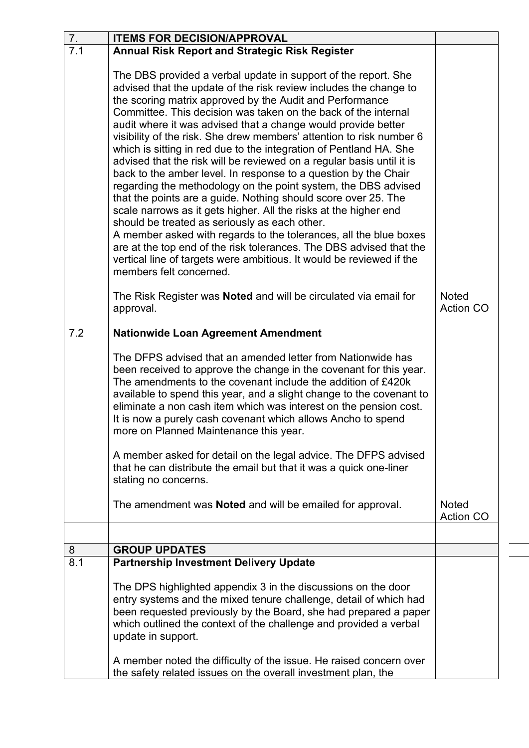| 7.  | <b>ITEMS FOR DECISION/APPROVAL</b>                                                                                                                                                                                                                                                                                                                                                                                                                                                                                                                                                                                                                                                                                                                                                                                                                                                                                                                                                                                                                                                                                                   |                                  |
|-----|--------------------------------------------------------------------------------------------------------------------------------------------------------------------------------------------------------------------------------------------------------------------------------------------------------------------------------------------------------------------------------------------------------------------------------------------------------------------------------------------------------------------------------------------------------------------------------------------------------------------------------------------------------------------------------------------------------------------------------------------------------------------------------------------------------------------------------------------------------------------------------------------------------------------------------------------------------------------------------------------------------------------------------------------------------------------------------------------------------------------------------------|----------------------------------|
| 7.1 | <b>Annual Risk Report and Strategic Risk Register</b>                                                                                                                                                                                                                                                                                                                                                                                                                                                                                                                                                                                                                                                                                                                                                                                                                                                                                                                                                                                                                                                                                |                                  |
|     | The DBS provided a verbal update in support of the report. She<br>advised that the update of the risk review includes the change to<br>the scoring matrix approved by the Audit and Performance<br>Committee. This decision was taken on the back of the internal<br>audit where it was advised that a change would provide better<br>visibility of the risk. She drew members' attention to risk number 6<br>which is sitting in red due to the integration of Pentland HA. She<br>advised that the risk will be reviewed on a regular basis until it is<br>back to the amber level. In response to a question by the Chair<br>regarding the methodology on the point system, the DBS advised<br>that the points are a guide. Nothing should score over 25. The<br>scale narrows as it gets higher. All the risks at the higher end<br>should be treated as seriously as each other.<br>A member asked with regards to the tolerances, all the blue boxes<br>are at the top end of the risk tolerances. The DBS advised that the<br>vertical line of targets were ambitious. It would be reviewed if the<br>members felt concerned. |                                  |
|     | The Risk Register was <b>Noted</b> and will be circulated via email for<br>approval.                                                                                                                                                                                                                                                                                                                                                                                                                                                                                                                                                                                                                                                                                                                                                                                                                                                                                                                                                                                                                                                 | <b>Noted</b><br><b>Action CO</b> |
| 7.2 | <b>Nationwide Loan Agreement Amendment</b>                                                                                                                                                                                                                                                                                                                                                                                                                                                                                                                                                                                                                                                                                                                                                                                                                                                                                                                                                                                                                                                                                           |                                  |
|     | The DFPS advised that an amended letter from Nationwide has<br>been received to approve the change in the covenant for this year.<br>The amendments to the covenant include the addition of £420k<br>available to spend this year, and a slight change to the covenant to<br>eliminate a non cash item which was interest on the pension cost.<br>It is now a purely cash covenant which allows Ancho to spend<br>more on Planned Maintenance this year.                                                                                                                                                                                                                                                                                                                                                                                                                                                                                                                                                                                                                                                                             |                                  |
|     | A member asked for detail on the legal advice. The DFPS advised<br>that he can distribute the email but that it was a quick one-liner<br>stating no concerns.                                                                                                                                                                                                                                                                                                                                                                                                                                                                                                                                                                                                                                                                                                                                                                                                                                                                                                                                                                        |                                  |
|     | The amendment was <b>Noted</b> and will be emailed for approval.                                                                                                                                                                                                                                                                                                                                                                                                                                                                                                                                                                                                                                                                                                                                                                                                                                                                                                                                                                                                                                                                     | <b>Noted</b><br><b>Action CO</b> |
|     |                                                                                                                                                                                                                                                                                                                                                                                                                                                                                                                                                                                                                                                                                                                                                                                                                                                                                                                                                                                                                                                                                                                                      |                                  |
| 8   | <b>GROUP UPDATES</b>                                                                                                                                                                                                                                                                                                                                                                                                                                                                                                                                                                                                                                                                                                                                                                                                                                                                                                                                                                                                                                                                                                                 |                                  |
| 8.1 | <b>Partnership Investment Delivery Update</b>                                                                                                                                                                                                                                                                                                                                                                                                                                                                                                                                                                                                                                                                                                                                                                                                                                                                                                                                                                                                                                                                                        |                                  |
|     | The DPS highlighted appendix 3 in the discussions on the door<br>entry systems and the mixed tenure challenge, detail of which had<br>been requested previously by the Board, she had prepared a paper<br>which outlined the context of the challenge and provided a verbal<br>update in support.                                                                                                                                                                                                                                                                                                                                                                                                                                                                                                                                                                                                                                                                                                                                                                                                                                    |                                  |
|     | A member noted the difficulty of the issue. He raised concern over<br>the safety related issues on the overall investment plan, the                                                                                                                                                                                                                                                                                                                                                                                                                                                                                                                                                                                                                                                                                                                                                                                                                                                                                                                                                                                                  |                                  |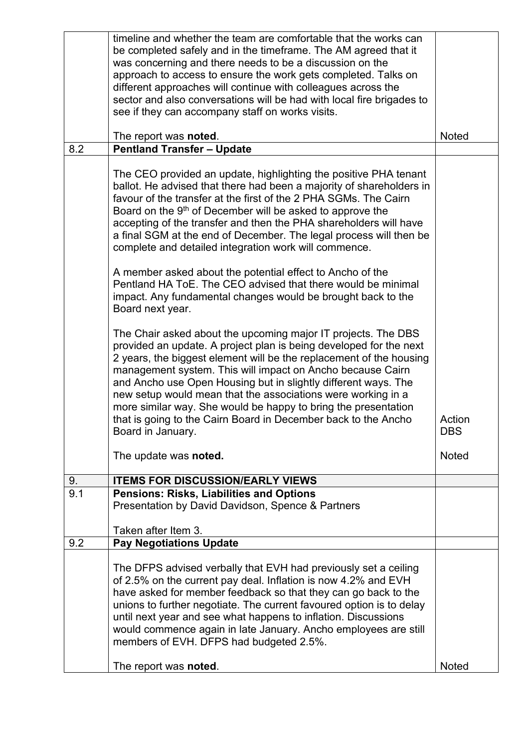|     | timeline and whether the team are comfortable that the works can<br>be completed safely and in the timeframe. The AM agreed that it<br>was concerning and there needs to be a discussion on the<br>approach to access to ensure the work gets completed. Talks on<br>different approaches will continue with colleagues across the<br>sector and also conversations will be had with local fire brigades to<br>see if they can accompany staff on works visits.                                                                                                     |                      |
|-----|---------------------------------------------------------------------------------------------------------------------------------------------------------------------------------------------------------------------------------------------------------------------------------------------------------------------------------------------------------------------------------------------------------------------------------------------------------------------------------------------------------------------------------------------------------------------|----------------------|
|     | The report was <b>noted</b> .                                                                                                                                                                                                                                                                                                                                                                                                                                                                                                                                       | <b>Noted</b>         |
| 8.2 | <b>Pentland Transfer - Update</b>                                                                                                                                                                                                                                                                                                                                                                                                                                                                                                                                   |                      |
|     | The CEO provided an update, highlighting the positive PHA tenant<br>ballot. He advised that there had been a majority of shareholders in<br>favour of the transfer at the first of the 2 PHA SGMs. The Cairn<br>Board on the 9 <sup>th</sup> of December will be asked to approve the<br>accepting of the transfer and then the PHA shareholders will have<br>a final SGM at the end of December. The legal process will then be<br>complete and detailed integration work will commence.                                                                           |                      |
|     | A member asked about the potential effect to Ancho of the<br>Pentland HA ToE. The CEO advised that there would be minimal<br>impact. Any fundamental changes would be brought back to the<br>Board next year.                                                                                                                                                                                                                                                                                                                                                       |                      |
|     | The Chair asked about the upcoming major IT projects. The DBS<br>provided an update. A project plan is being developed for the next<br>2 years, the biggest element will be the replacement of the housing<br>management system. This will impact on Ancho because Cairn<br>and Ancho use Open Housing but in slightly different ways. The<br>new setup would mean that the associations were working in a<br>more similar way. She would be happy to bring the presentation<br>that is going to the Cairn Board in December back to the Ancho<br>Board in January. | Action<br><b>DBS</b> |
|     | The update was noted.                                                                                                                                                                                                                                                                                                                                                                                                                                                                                                                                               | <b>Noted</b>         |
| 9.  | <b>ITEMS FOR DISCUSSION/EARLY VIEWS</b>                                                                                                                                                                                                                                                                                                                                                                                                                                                                                                                             |                      |
| 9.1 | <b>Pensions: Risks, Liabilities and Options</b><br>Presentation by David Davidson, Spence & Partners                                                                                                                                                                                                                                                                                                                                                                                                                                                                |                      |
|     | Taken after Item 3.                                                                                                                                                                                                                                                                                                                                                                                                                                                                                                                                                 |                      |
| 9.2 | <b>Pay Negotiations Update</b>                                                                                                                                                                                                                                                                                                                                                                                                                                                                                                                                      |                      |
|     | The DFPS advised verbally that EVH had previously set a ceiling<br>of 2.5% on the current pay deal. Inflation is now 4.2% and EVH<br>have asked for member feedback so that they can go back to the<br>unions to further negotiate. The current favoured option is to delay<br>until next year and see what happens to inflation. Discussions<br>would commence again in late January. Ancho employees are still<br>members of EVH. DFPS had budgeted 2.5%.                                                                                                         |                      |
|     | The report was noted.                                                                                                                                                                                                                                                                                                                                                                                                                                                                                                                                               | <b>Noted</b>         |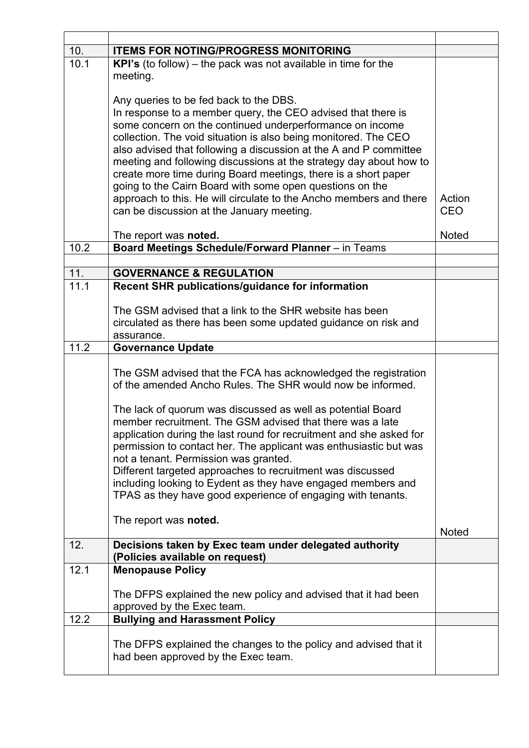| 10.  | <b>ITEMS FOR NOTING/PROGRESS MONITORING</b>                           |              |
|------|-----------------------------------------------------------------------|--------------|
| 10.1 | <b>KPI's</b> (to follow) – the pack was not available in time for the |              |
|      | meeting.                                                              |              |
|      |                                                                       |              |
|      | Any queries to be fed back to the DBS.                                |              |
|      | In response to a member query, the CEO advised that there is          |              |
|      | some concern on the continued underperformance on income              |              |
|      | collection. The void situation is also being monitored. The CEO       |              |
|      | also advised that following a discussion at the A and P committee     |              |
|      | meeting and following discussions at the strategy day about how to    |              |
|      | create more time during Board meetings, there is a short paper        |              |
|      | going to the Cairn Board with some open questions on the              |              |
|      | approach to this. He will circulate to the Ancho members and there    | Action       |
|      | can be discussion at the January meeting.                             | <b>CEO</b>   |
|      |                                                                       |              |
|      | The report was noted.                                                 | <b>Noted</b> |
| 10.2 | Board Meetings Schedule/Forward Planner - in Teams                    |              |
|      |                                                                       |              |
| 11.  | <b>GOVERNANCE &amp; REGULATION</b>                                    |              |
| 11.1 | Recent SHR publications/guidance for information                      |              |
|      |                                                                       |              |
|      | The GSM advised that a link to the SHR website has been               |              |
|      | circulated as there has been some updated guidance on risk and        |              |
|      | assurance.                                                            |              |
| 11.2 | <b>Governance Update</b>                                              |              |
|      |                                                                       |              |
|      | The GSM advised that the FCA has acknowledged the registration        |              |
|      | of the amended Ancho Rules. The SHR would now be informed.            |              |
|      |                                                                       |              |
|      | The lack of quorum was discussed as well as potential Board           |              |
|      | member recruitment. The GSM advised that there was a late             |              |
|      | application during the last round for recruitment and she asked for   |              |
|      | permission to contact her. The applicant was enthusiastic but was     |              |
|      | not a tenant. Permission was granted.                                 |              |
|      | Different targeted approaches to recruitment was discussed            |              |
|      | including looking to Eydent as they have engaged members and          |              |
|      | TPAS as they have good experience of engaging with tenants.           |              |
|      | The report was noted.                                                 |              |
|      |                                                                       | <b>Noted</b> |
| 12.  | Decisions taken by Exec team under delegated authority                |              |
|      | (Policies available on request)                                       |              |
| 12.1 | <b>Menopause Policy</b>                                               |              |
|      |                                                                       |              |
|      | The DFPS explained the new policy and advised that it had been        |              |
|      | approved by the Exec team.                                            |              |
| 12.2 | <b>Bullying and Harassment Policy</b>                                 |              |
|      |                                                                       |              |
|      | The DFPS explained the changes to the policy and advised that it      |              |
|      | had been approved by the Exec team.                                   |              |
|      |                                                                       |              |
|      |                                                                       |              |